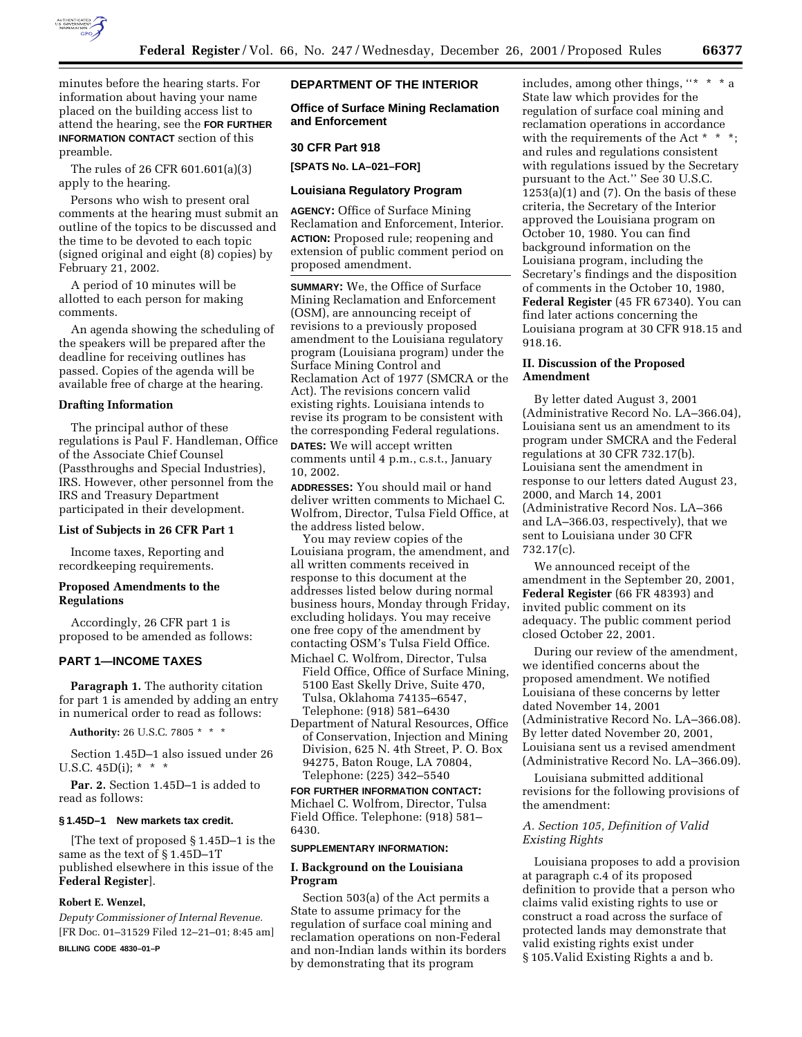

minutes before the hearing starts. For information about having your name placed on the building access list to attend the hearing, see the **FOR FURTHER INFORMATION CONTACT** section of this preamble.

The rules of 26 CFR 601.601(a)(3) apply to the hearing.

Persons who wish to present oral comments at the hearing must submit an outline of the topics to be discussed and the time to be devoted to each topic (signed original and eight (8) copies) by February 21, 2002.

A period of 10 minutes will be allotted to each person for making comments.

An agenda showing the scheduling of the speakers will be prepared after the deadline for receiving outlines has passed. Copies of the agenda will be available free of charge at the hearing.

## **Drafting Information**

The principal author of these regulations is Paul F. Handleman, Office of the Associate Chief Counsel (Passthroughs and Special Industries), IRS. However, other personnel from the IRS and Treasury Department participated in their development.

## **List of Subjects in 26 CFR Part 1**

Income taxes, Reporting and recordkeeping requirements.

# **Proposed Amendments to the Regulations**

Accordingly, 26 CFR part 1 is proposed to be amended as follows:

# **PART 1—INCOME TAXES**

**Paragraph 1.** The authority citation for part 1 is amended by adding an entry in numerical order to read as follows:

**Authority:** 26 U.S.C. 7805 \* \* \*

Section 1.45D–1 also issued under 26 U.S.C. 45D(i); \* \* \*

Par. 2. Section 1.45D-1 is added to read as follows:

# **§ 1.45D–1 New markets tax credit.**

[The text of proposed § 1.45D–1 is the same as the text of § 1.45D–1T published elsewhere in this issue of the **Federal Register**].

## **Robert E. Wenzel,**

*Deputy Commissioner of Internal Revenue.* [FR Doc. 01–31529 Filed 12–21–01; 8:45 am] **BILLING CODE 4830–01–P**

# **DEPARTMENT OF THE INTERIOR**

**Office of Surface Mining Reclamation and Enforcement**

# **30 CFR Part 918**

**[SPATS No. LA–021–FOR]**

# **Louisiana Regulatory Program**

**AGENCY:** Office of Surface Mining Reclamation and Enforcement, Interior. **ACTION:** Proposed rule; reopening and extension of public comment period on proposed amendment.

**SUMMARY:** We, the Office of Surface Mining Reclamation and Enforcement (OSM), are announcing receipt of revisions to a previously proposed amendment to the Louisiana regulatory program (Louisiana program) under the Surface Mining Control and Reclamation Act of 1977 (SMCRA or the Act). The revisions concern valid existing rights. Louisiana intends to revise its program to be consistent with the corresponding Federal regulations. **DATES:** We will accept written comments until 4 p.m., c.s.t., January

10, 2002. **ADDRESSES:** You should mail or hand deliver written comments to Michael C. Wolfrom, Director, Tulsa Field Office, at

the address listed below. You may review copies of the Louisiana program, the amendment, and all written comments received in response to this document at the addresses listed below during normal business hours, Monday through Friday, excluding holidays. You may receive one free copy of the amendment by contacting OSM's Tulsa Field Office.

Michael C. Wolfrom, Director, Tulsa Field Office, Office of Surface Mining, 5100 East Skelly Drive, Suite 470, Tulsa, Oklahoma 74135–6547, Telephone: (918) 581–6430

Department of Natural Resources, Office of Conservation, Injection and Mining Division, 625 N. 4th Street, P. O. Box 94275, Baton Rouge, LA 70804, Telephone: (225) 342–5540

**FOR FURTHER INFORMATION CONTACT:** Michael C. Wolfrom, Director, Tulsa Field Office. Telephone: (918) 581– 6430.

## **SUPPLEMENTARY INFORMATION:**

# **I. Background on the Louisiana Program**

Section 503(a) of the Act permits a State to assume primacy for the regulation of surface coal mining and reclamation operations on non-Federal and non-Indian lands within its borders by demonstrating that its program

includes, among other things, "\* \* \* a State law which provides for the regulation of surface coal mining and reclamation operations in accordance with the requirements of the Act \* \* \*; and rules and regulations consistent with regulations issued by the Secretary pursuant to the Act.'' See 30 U.S.C.  $1253(a)(1)$  and  $(7)$ . On the basis of these criteria, the Secretary of the Interior approved the Louisiana program on October 10, 1980. You can find background information on the Louisiana program, including the Secretary's findings and the disposition of comments in the October 10, 1980, **Federal Register** (45 FR 67340). You can find later actions concerning the Louisiana program at 30 CFR 918.15 and 918.16.

# **II. Discussion of the Proposed Amendment**

By letter dated August 3, 2001 (Administrative Record No. LA–366.04), Louisiana sent us an amendment to its program under SMCRA and the Federal regulations at 30 CFR 732.17(b). Louisiana sent the amendment in response to our letters dated August 23, 2000, and March 14, 2001 (Administrative Record Nos. LA–366 and LA–366.03, respectively), that we sent to Louisiana under 30 CFR 732.17(c).

We announced receipt of the amendment in the September 20, 2001, **Federal Register** (66 FR 48393) and invited public comment on its adequacy. The public comment period closed October 22, 2001.

During our review of the amendment, we identified concerns about the proposed amendment. We notified Louisiana of these concerns by letter dated November 14, 2001 (Administrative Record No. LA–366.08). By letter dated November 20, 2001, Louisiana sent us a revised amendment (Administrative Record No. LA–366.09).

Louisiana submitted additional revisions for the following provisions of the amendment:

# *A. Section 105, Definition of Valid Existing Rights*

Louisiana proposes to add a provision at paragraph c.4 of its proposed definition to provide that a person who claims valid existing rights to use or construct a road across the surface of protected lands may demonstrate that valid existing rights exist under § 105.Valid Existing Rights a and b.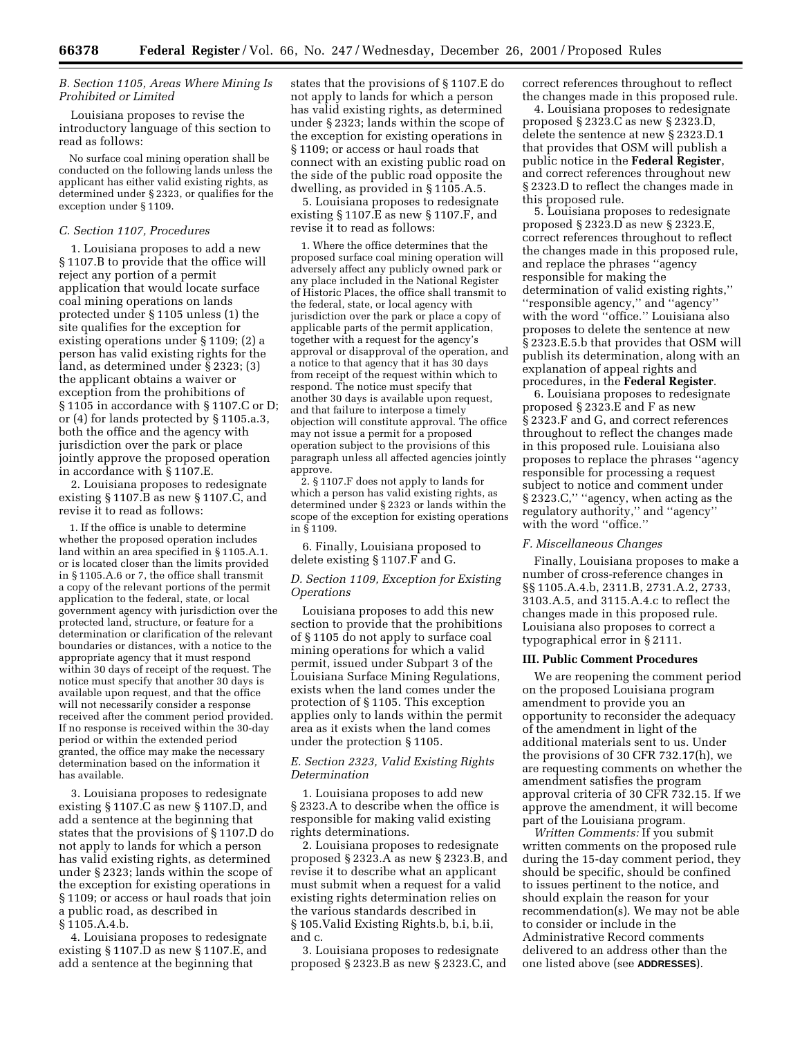# *B. Section 1105, Areas Where Mining Is Prohibited or Limited*

Louisiana proposes to revise the introductory language of this section to read as follows:

No surface coal mining operation shall be conducted on the following lands unless the applicant has either valid existing rights, as determined under § 2323, or qualifies for the exception under § 1109.

## *C. Section 1107, Procedures*

1. Louisiana proposes to add a new § 1107.B to provide that the office will reject any portion of a permit application that would locate surface coal mining operations on lands protected under § 1105 unless (1) the site qualifies for the exception for existing operations under § 1109; (2) a person has valid existing rights for the land, as determined under § 2323; (3) the applicant obtains a waiver or exception from the prohibitions of § 1105 in accordance with § 1107.C or D; or (4) for lands protected by § 1105.a.3, both the office and the agency with jurisdiction over the park or place jointly approve the proposed operation in accordance with § 1107.E.

2. Louisiana proposes to redesignate existing § 1107.B as new § 1107.C, and revise it to read as follows:

1. If the office is unable to determine whether the proposed operation includes land within an area specified in § 1105.A.1. or is located closer than the limits provided in  $§ 1105.A.6$  or 7, the office shall transmit a copy of the relevant portions of the permit application to the federal, state, or local government agency with jurisdiction over the protected land, structure, or feature for a determination or clarification of the relevant boundaries or distances, with a notice to the appropriate agency that it must respond within 30 days of receipt of the request. The notice must specify that another 30 days is available upon request, and that the office will not necessarily consider a response received after the comment period provided. If no response is received within the 30-day period or within the extended period granted, the office may make the necessary determination based on the information it has available.

3. Louisiana proposes to redesignate existing § 1107.C as new § 1107.D, and add a sentence at the beginning that states that the provisions of § 1107.D do not apply to lands for which a person has valid existing rights, as determined under § 2323; lands within the scope of the exception for existing operations in § 1109; or access or haul roads that join a public road, as described in § 1105.A.4.b.

4. Louisiana proposes to redesignate existing § 1107.D as new § 1107.E, and add a sentence at the beginning that

states that the provisions of § 1107.E do not apply to lands for which a person has valid existing rights, as determined under § 2323; lands within the scope of the exception for existing operations in § 1109; or access or haul roads that connect with an existing public road on the side of the public road opposite the dwelling, as provided in § 1105.A.5.

5. Louisiana proposes to redesignate existing § 1107.E as new § 1107.F, and revise it to read as follows:

1. Where the office determines that the proposed surface coal mining operation will adversely affect any publicly owned park or any place included in the National Register of Historic Places, the office shall transmit to the federal, state, or local agency with jurisdiction over the park or place a copy of applicable parts of the permit application, together with a request for the agency's approval or disapproval of the operation, and a notice to that agency that it has 30 days from receipt of the request within which to respond. The notice must specify that another 30 days is available upon request, and that failure to interpose a timely objection will constitute approval. The office may not issue a permit for a proposed operation subject to the provisions of this paragraph unless all affected agencies jointly approve.

2. § 1107.F does not apply to lands for which a person has valid existing rights, as determined under § 2323 or lands within the scope of the exception for existing operations in § 1109.

6. Finally, Louisiana proposed to delete existing § 1107.F and G.

## *D. Section 1109, Exception for Existing Operations*

Louisiana proposes to add this new section to provide that the prohibitions of § 1105 do not apply to surface coal mining operations for which a valid permit, issued under Subpart 3 of the Louisiana Surface Mining Regulations, exists when the land comes under the protection of § 1105. This exception applies only to lands within the permit area as it exists when the land comes under the protection § 1105.

# *E. Section 2323, Valid Existing Rights Determination*

1. Louisiana proposes to add new § 2323.A to describe when the office is responsible for making valid existing rights determinations.

2. Louisiana proposes to redesignate proposed § 2323.A as new § 2323.B, and revise it to describe what an applicant must submit when a request for a valid existing rights determination relies on the various standards described in § 105.Valid Existing Rights.b, b.i, b.ii, and c.

3. Louisiana proposes to redesignate proposed § 2323.B as new § 2323.C, and correct references throughout to reflect the changes made in this proposed rule.

4. Louisiana proposes to redesignate proposed § 2323.C as new § 2323.D, delete the sentence at new § 2323.D.1 that provides that OSM will publish a public notice in the **Federal Register**, and correct references throughout new § 2323.D to reflect the changes made in this proposed rule.

5. Louisiana proposes to redesignate proposed § 2323.D as new § 2323.E, correct references throughout to reflect the changes made in this proposed rule, and replace the phrases ''agency responsible for making the determination of valid existing rights,'' ''responsible agency,'' and ''agency'' with the word ''office.'' Louisiana also proposes to delete the sentence at new § 2323.E.5.b that provides that OSM will publish its determination, along with an explanation of appeal rights and procedures, in the **Federal Register**.

6. Louisiana proposes to redesignate proposed § 2323.E and F as new § 2323.F and G, and correct references throughout to reflect the changes made in this proposed rule. Louisiana also proposes to replace the phrases ''agency responsible for processing a request subject to notice and comment under § 2323.C,'' ''agency, when acting as the regulatory authority,'' and ''agency'' with the word ''office.''

## *F. Miscellaneous Changes*

Finally, Louisiana proposes to make a number of cross-reference changes in §§ 1105.A.4.b, 2311.B, 2731.A.2, 2733, 3103.A.5, and 3115.A.4.c to reflect the changes made in this proposed rule. Louisiana also proposes to correct a typographical error in § 2111.

### **III. Public Comment Procedures**

We are reopening the comment period on the proposed Louisiana program amendment to provide you an opportunity to reconsider the adequacy of the amendment in light of the additional materials sent to us. Under the provisions of 30 CFR 732.17(h), we are requesting comments on whether the amendment satisfies the program approval criteria of 30 CFR 732.15. If we approve the amendment, it will become part of the Louisiana program.

*Written Comments:* If you submit written comments on the proposed rule during the 15-day comment period, they should be specific, should be confined to issues pertinent to the notice, and should explain the reason for your recommendation(s). We may not be able to consider or include in the Administrative Record comments delivered to an address other than the one listed above (see **ADDRESSES**).